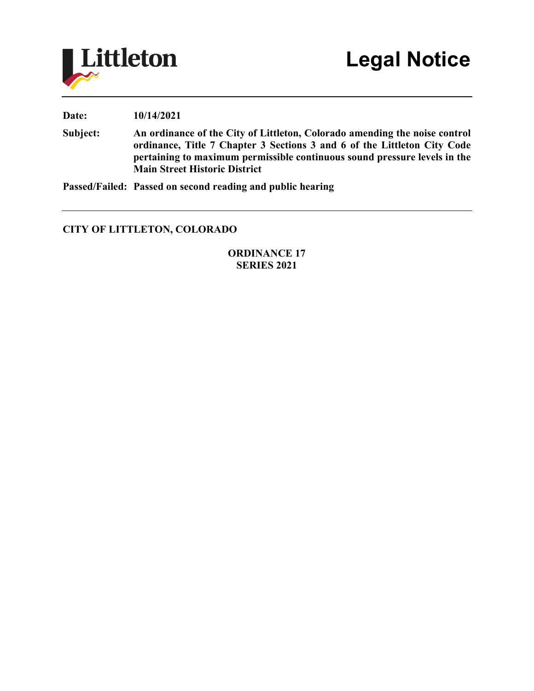

**Date: 10/14/2021**

**Subject: An ordinance of the City of Littleton, Colorado amending the noise control ordinance, Title 7 Chapter 3 Sections 3 and 6 of the Littleton City Code pertaining to maximum permissible continuous sound pressure levels in the Main Street Historic District**

**Passed/Failed: Passed on second reading and public hearing**

## **CITY OF LITTLETON, COLORADO**

**ORDINANCE 17 SERIES 2021**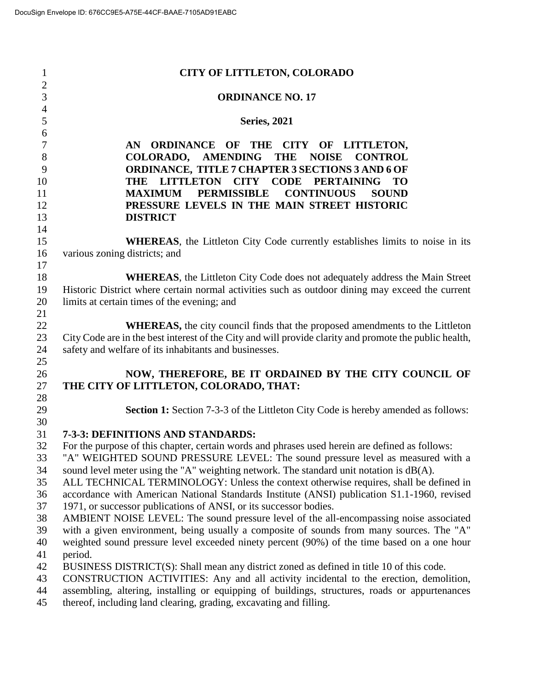| $\mathbf{1}$                     | <b>CITY OF LITTLETON, COLORADO</b>                                                                                                                                                 |
|----------------------------------|------------------------------------------------------------------------------------------------------------------------------------------------------------------------------------|
| $\overline{c}$<br>$\overline{3}$ | <b>ORDINANCE NO. 17</b>                                                                                                                                                            |
| $\overline{4}$<br>5              | <b>Series, 2021</b>                                                                                                                                                                |
| 6<br>$\boldsymbol{7}$            | <b>ORDINANCE</b><br>OF THE<br>AN<br>CITY OF LITTLETON,                                                                                                                             |
| $8\,$<br>9                       | <b>AMENDING</b><br><b>COLORADO.</b><br><b>THE</b><br><b>NOISE</b><br><b>CONTROL</b><br>ORDINANCE, TITLE 7 CHAPTER 3 SECTIONS 3 AND 6 OF                                            |
| 10                               | THE LITTLETON<br><b>CODE</b><br><b>CITY</b><br><b>PERTAINING</b><br><b>TO</b>                                                                                                      |
| 11                               | <b>PERMISSIBLE</b><br><b>MAXIMUM</b><br><b>CONTINUOUS</b><br><b>SOUND</b>                                                                                                          |
| 12                               | PRESSURE LEVELS IN THE MAIN STREET HISTORIC                                                                                                                                        |
| 13                               | <b>DISTRICT</b>                                                                                                                                                                    |
| 14                               |                                                                                                                                                                                    |
| 15                               | <b>WHEREAS</b> , the Littleton City Code currently establishes limits to noise in its                                                                                              |
| 16                               | various zoning districts; and                                                                                                                                                      |
| 17<br>18                         | <b>WHEREAS</b> , the Littleton City Code does not adequately address the Main Street                                                                                               |
| 19                               | Historic District where certain normal activities such as outdoor dining may exceed the current                                                                                    |
| 20                               | limits at certain times of the evening; and                                                                                                                                        |
| 21                               |                                                                                                                                                                                    |
| 22                               | <b>WHEREAS</b> , the city council finds that the proposed amendments to the Littleton                                                                                              |
| 23                               | City Code are in the best interest of the City and will provide clarity and promote the public health,                                                                             |
| 24                               | safety and welfare of its inhabitants and businesses.                                                                                                                              |
| 25                               |                                                                                                                                                                                    |
| 26                               | NOW, THEREFORE, BE IT ORDAINED BY THE CITY COUNCIL OF                                                                                                                              |
| 27                               | THE CITY OF LITTLETON, COLORADO, THAT:                                                                                                                                             |
| 28<br>29                         | <b>Section 1:</b> Section 7-3-3 of the Littleton City Code is hereby amended as follows:                                                                                           |
| 30                               |                                                                                                                                                                                    |
| 31                               | 7-3-3: DEFINITIONS AND STANDARDS:                                                                                                                                                  |
| 32                               | For the purpose of this chapter, certain words and phrases used herein are defined as follows:                                                                                     |
| 33                               | "A" WEIGHTED SOUND PRESSURE LEVEL: The sound pressure level as measured with a                                                                                                     |
| 34                               | sound level meter using the "A" weighting network. The standard unit notation is dB(A).                                                                                            |
| 35                               | ALL TECHNICAL TERMINOLOGY: Unless the context otherwise requires, shall be defined in                                                                                              |
| 36                               | accordance with American National Standards Institute (ANSI) publication S1.1-1960, revised                                                                                        |
| 37<br>38                         | 1971, or successor publications of ANSI, or its successor bodies.                                                                                                                  |
| 39                               | AMBIENT NOISE LEVEL: The sound pressure level of the all-encompassing noise associated<br>with a given environment, being usually a composite of sounds from many sources. The "A" |
| 40                               | weighted sound pressure level exceeded ninety percent (90%) of the time based on a one hour                                                                                        |
| 41                               | period.                                                                                                                                                                            |
| 42                               | BUSINESS DISTRICT(S): Shall mean any district zoned as defined in title 10 of this code.                                                                                           |
| 43                               | CONSTRUCTION ACTIVITIES: Any and all activity incidental to the erection, demolition,                                                                                              |
| 44                               | assembling, altering, installing or equipping of buildings, structures, roads or appurtenances                                                                                     |
| 45                               | thereof, including land clearing, grading, excavating and filling.                                                                                                                 |
|                                  |                                                                                                                                                                                    |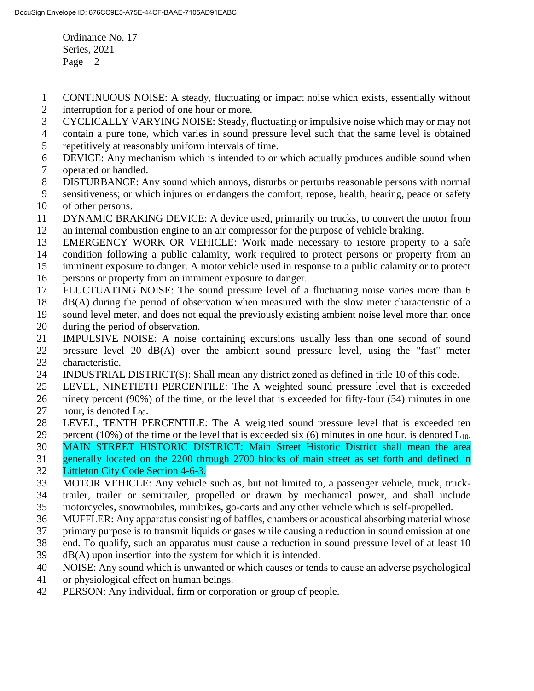- CONTINUOUS NOISE: A steady, fluctuating or impact noise which exists, essentially without interruption for a period of one hour or more.
- CYCLICALLY VARYING NOISE: Steady, fluctuating or impulsive noise which may or may not
- contain a pure tone, which varies in sound pressure level such that the same level is obtained
- repetitively at reasonably uniform intervals of time.
- DEVICE: Any mechanism which is intended to or which actually produces audible sound when operated or handled.
- DISTURBANCE: Any sound which annoys, disturbs or perturbs reasonable persons with normal
- sensitiveness; or which injures or endangers the comfort, repose, health, hearing, peace or safety of other persons.
- DYNAMIC BRAKING DEVICE: A device used, primarily on trucks, to convert the motor from
- an internal combustion engine to an air compressor for the purpose of vehicle braking.
- EMERGENCY WORK OR VEHICLE: Work made necessary to restore property to a safe
- condition following a public calamity, work required to protect persons or property from an
- imminent exposure to danger. A motor vehicle used in response to a public calamity or to protect
- persons or property from an imminent exposure to danger.
- FLUCTUATING NOISE: The sound pressure level of a fluctuating noise varies more than 6
- dB(A) during the period of observation when measured with the slow meter characteristic of a
- sound level meter, and does not equal the previously existing ambient noise level more than once
- during the period of observation.
- IMPULSIVE NOISE: A noise containing excursions usually less than one second of sound
- pressure level 20 dB(A) over the ambient sound pressure level, using the "fast" meter characteristic.
- INDUSTRIAL DISTRICT(S): Shall mean any district zoned as defined in title 10 of this code.
- LEVEL, NINETIETH PERCENTILE: The A weighted sound pressure level that is exceeded
- ninety percent (90%) of the time, or the level that is exceeded for fifty-four (54) minutes in one
- 27 hour, is denoted  $L_{90}$ .
- LEVEL, TENTH PERCENTILE: The A weighted sound pressure level that is exceeded ten
- 29 percent (10%) of the time or the level that is exceeded six (6) minutes in one hour, is denoted  $L_{10}$ .
- MAIN STREET HISTORIC DISTRICT: Main Street Historic District shall mean the area
- generally located on the 2200 through 2700 blocks of main street as set forth and defined in
- Littleton City Code Section 4-6-3.
- MOTOR VEHICLE: Any vehicle such as, but not limited to, a passenger vehicle, truck, truck- trailer, trailer or semitrailer, propelled or drawn by mechanical power, and shall include motorcycles, snowmobiles, minibikes, go-carts and any other vehicle which is self-propelled.
- MUFFLER: Any apparatus consisting of baffles, chambers or acoustical absorbing material whose
- primary purpose is to transmit liquids or gases while causing a reduction in sound emission at one
- end. To qualify, such an apparatus must cause a reduction in sound pressure level of at least 10
- dB(A) upon insertion into the system for which it is intended.
- NOISE: Any sound which is unwanted or which causes or tends to cause an adverse psychological
- or physiological effect on human beings.
- PERSON: Any individual, firm or corporation or group of people.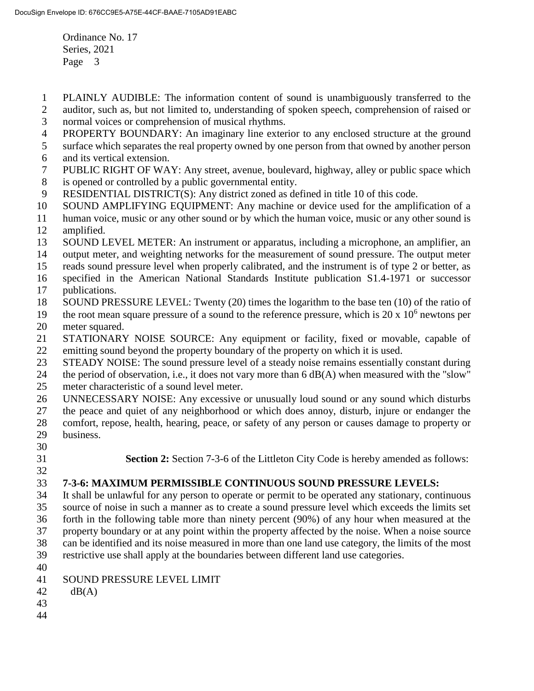- PLAINLY AUDIBLE: The information content of sound is unambiguously transferred to the
- auditor, such as, but not limited to, understanding of spoken speech, comprehension of raised or
- normal voices or comprehension of musical rhythms.
- PROPERTY BOUNDARY: An imaginary line exterior to any enclosed structure at the ground
- surface which separates the real property owned by one person from that owned by another person
- and its vertical extension.
- PUBLIC RIGHT OF WAY: Any street, avenue, boulevard, highway, alley or public space which is opened or controlled by a public governmental entity.
- RESIDENTIAL DISTRICT(S): Any district zoned as defined in title 10 of this code.
- SOUND AMPLIFYING EQUIPMENT: Any machine or device used for the amplification of a
- human voice, music or any other sound or by which the human voice, music or any other sound is amplified.
- SOUND LEVEL METER: An instrument or apparatus, including a microphone, an amplifier, an
- output meter, and weighting networks for the measurement of sound pressure. The output meter
- reads sound pressure level when properly calibrated, and the instrument is of type 2 or better, as
- specified in the American National Standards Institute publication S1.4-1971 or successor publications.
- SOUND PRESSURE LEVEL: Twenty (20) times the logarithm to the base ten (10) of the ratio of
- 19 the root mean square pressure of a sound to the reference pressure, which is  $20 \times 10^6$  newtons per meter squared.
- STATIONARY NOISE SOURCE: Any equipment or facility, fixed or movable, capable of emitting sound beyond the property boundary of the property on which it is used.
- STEADY NOISE: The sound pressure level of a steady noise remains essentially constant during
- the period of observation, i.e., it does not vary more than 6 dB(A) when measured with the "slow" meter characteristic of a sound level meter.
- UNNECESSARY NOISE: Any excessive or unusually loud sound or any sound which disturbs
- the peace and quiet of any neighborhood or which does annoy, disturb, injure or endanger the
- comfort, repose, health, hearing, peace, or safety of any person or causes damage to property or
- business.
- 
- 

**Section 2:** Section 7-3-6 of the Littleton City Code is hereby amended as follows:

## **7-3-6: MAXIMUM PERMISSIBLE CONTINUOUS SOUND PRESSURE LEVELS:**

 It shall be unlawful for any person to operate or permit to be operated any stationary, continuous source of noise in such a manner as to create a sound pressure level which exceeds the limits set forth in the following table more than ninety percent (90%) of any hour when measured at the property boundary or at any point within the property affected by the noise. When a noise source can be identified and its noise measured in more than one land use category, the limits of the most restrictive use shall apply at the boundaries between different land use categories.

- 
- SOUND PRESSURE LEVEL LIMIT
- $42 \text{ dB}(A)$
- 
-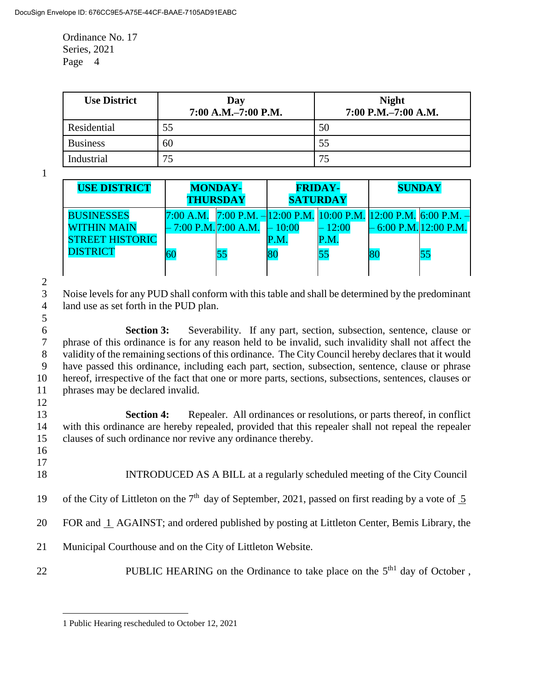| <b>Use District</b> | Day<br>7:00 A.M.-7:00 P.M. | <b>Night</b><br>7:00 P.M.-7:00 A.M. |
|---------------------|----------------------------|-------------------------------------|
| Residential         | 55                         | 50                                  |
| <b>Business</b>     | 60                         | 55                                  |
| Industrial          | 75                         | 75                                  |

1

| <b>USE DISTRICT</b>    | <b>MONDAY-</b><br><b>THURSDAY</b> |                                                                      | <b>FRIDAY-</b><br><b>SATURDAY</b> |          | <b>SUNDAY</b> |                           |
|------------------------|-----------------------------------|----------------------------------------------------------------------|-----------------------------------|----------|---------------|---------------------------|
| <b>BUSINESSES</b>      | $7:00$ A.M.                       | 7:00 P.M. $-12:00$ P.M. $ 10:00$ P.M. $ 12:00$ P.M. $ 6:00$ P.M. $-$ |                                   |          |               |                           |
| <b>WITHIN MAIN</b>     | - 7:00 P.M. 7:00 A.M.             |                                                                      | 10:00                             | $-12:00$ |               | $-6:00$ P.M. $12:00$ P.M. |
| <b>STREET HISTORIC</b> |                                   |                                                                      | P.M.                              | P.M.     |               |                           |
| <b>DISTRICT</b>        | <b>60</b>                         |                                                                      | 80                                | 55       |               | 55                        |
|                        |                                   |                                                                      |                                   |          |               |                           |

 $rac{2}{3}$ 

Noise levels for any PUD shall conform with this table and shall be determined by the predominant 4 land use as set forth in the PUD plan. 5

 **Section 3:** Severability. If any part, section, subsection, sentence, clause or phrase of this ordinance is for any reason held to be invalid, such invalidity shall not affect the validity of the remaining sections of this ordinance. The City Council hereby declares that it would have passed this ordinance, including each part, section, subsection, sentence, clause or phrase hereof, irrespective of the fact that one or more parts, sections, subsections, sentences, clauses or phrases may be declared invalid.

13 **Section 4:** Repealer. All ordinances or resolutions, or parts thereof, in conflict 14 with this ordinance are hereby repealed, provided that this repealer shall not repeal the repealer 15 clauses of such ordinance nor revive any ordinance thereby.

16 17

 $\overline{a}$ 

12

- 18 INTRODUCED AS A BILL at a regularly scheduled meeting of the City Council
- 19 of the City of Littleton on the  $7<sup>th</sup>$  day of September, 2021, passed on first reading by a vote of  $\overline{5}$
- 20 FOR and 1 AGAINST; and ordered published by posting at Littleton Center, Bemis Library, the
- 21 Municipal Courthouse and on the City of Littleton Website.
- PUBLIC HEARING on the Ordinance to take place on the  $5<sup>th1</sup>$  day of October,

<sup>1</sup> Public Hearing rescheduled to October 12, 2021